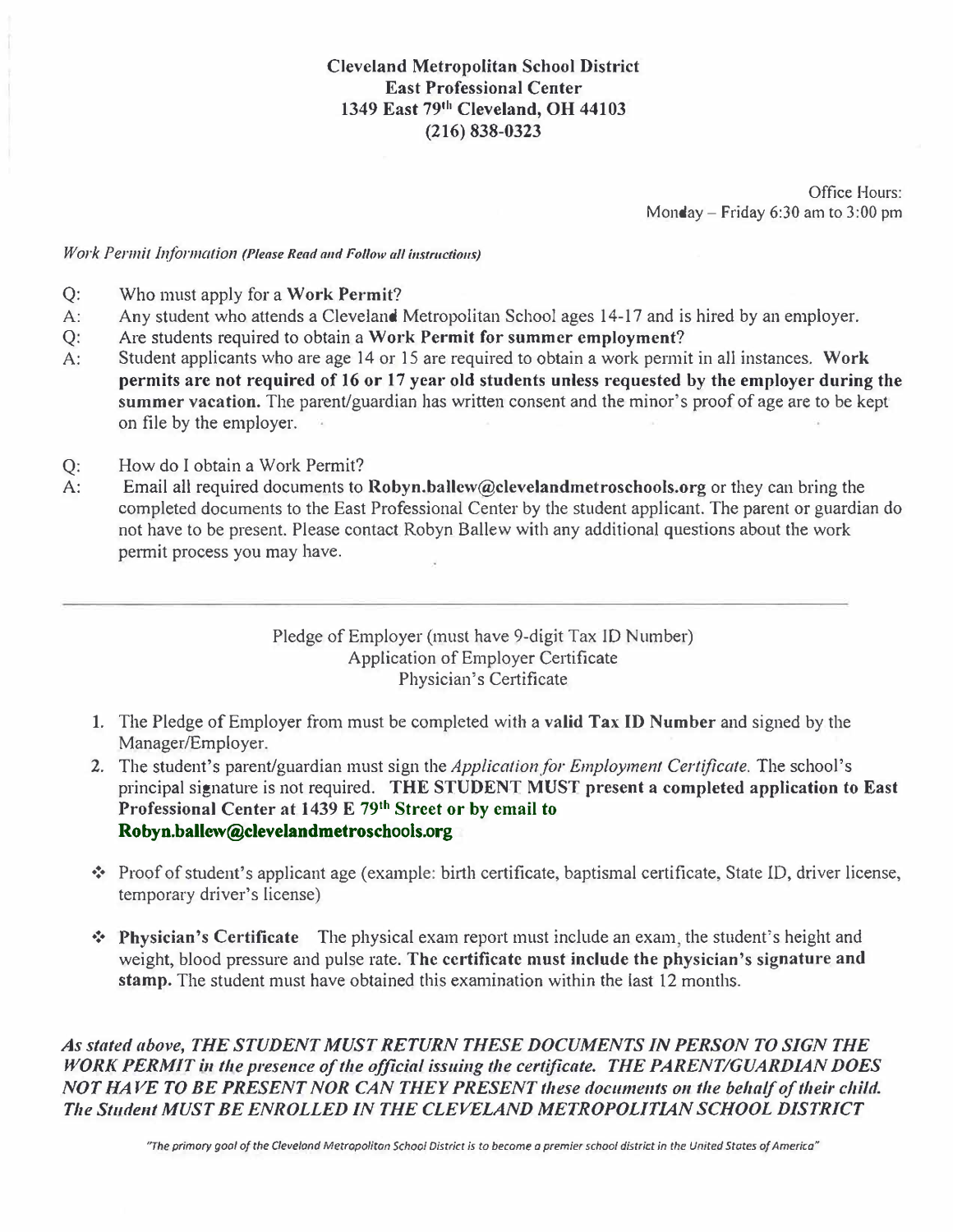Office Hours: Monday- Friday 6:30 am to 3:00 pm

## *Work Permit Information (Please Read and Follow all instructions)*

- Q: Who must apply for a Work Permit?<br>A: Any student who attends a Cleveland 1
- Any student who attends a Cleveland Metropolitan School ages 14-17 and is hired by an employer.
- 
- Q: Are students required to obtain a Work Permit for summer employment?<br>A: Student applicants who are age 14 or 15 are required to obtain a work permi Student applicants who are age 14 or 15 are required to obtain a work permit in all instances. Work permits are not required of 16 or 17 year old students unless requested by the employer during the summer vacation. The parent/guardian has written consent and the minor's proof of age are to be kept on file by the employer.
- Q: How do I obtain a Work Permit?<br>A: Email all required documents to
- Email all required documents to  $Robyn.ballow@clevel and metroschools.org$  or they can bring the completed documents to the East Professional Center by the student applicant. The parent or guardian do not have to be present. Please contact Robyn Ballew with any additional questions about the work permit process you may have.

## Pledge of Employer (must have 9-digit Tax ID Number) Application of Employer Certificate Physician's Certificate

- 1. The Pledge of Employer from must be completed with a valid Tax ID Number and signed by the Manager/Employer.
- 2. The student's parent/guardian must sign the *Application for Employment Certificate*. The school's principal signature is not required. THE STUDENT MUST present a completed application to East Professional Center at 1439 E 79**th** Street or by email to Robyn.ballew@clevelandmetroschools.org
- ❖ Proof of student's applicant age ( example: bi11h certificate, baptismal certificate, State ID, driver license, temporary driver's license)
- ❖ Physician's Certificate The physical exam report must include an exam the student's height and weight, blood pressure and pulse rate. The certificate must include the physician's signature and stamp. The student must have obtained this examination within the last 12 months.

*As stated above, THE STUDENT MUST RETURN THESE DOCUMENTS IN PERSON TO SIGN THE WORK PERMIT in the presence of the official issuing the certificate. THE PARENT/GUARDIAN DOES NOT HAVE TO BE PRESENT NOR CAN THEY PRESENT these documents on the behalf of their child. The Student MUST BE ENROLLED IN THE CLEVELAND METROPOLITIAN SCHOOL DISTRICT*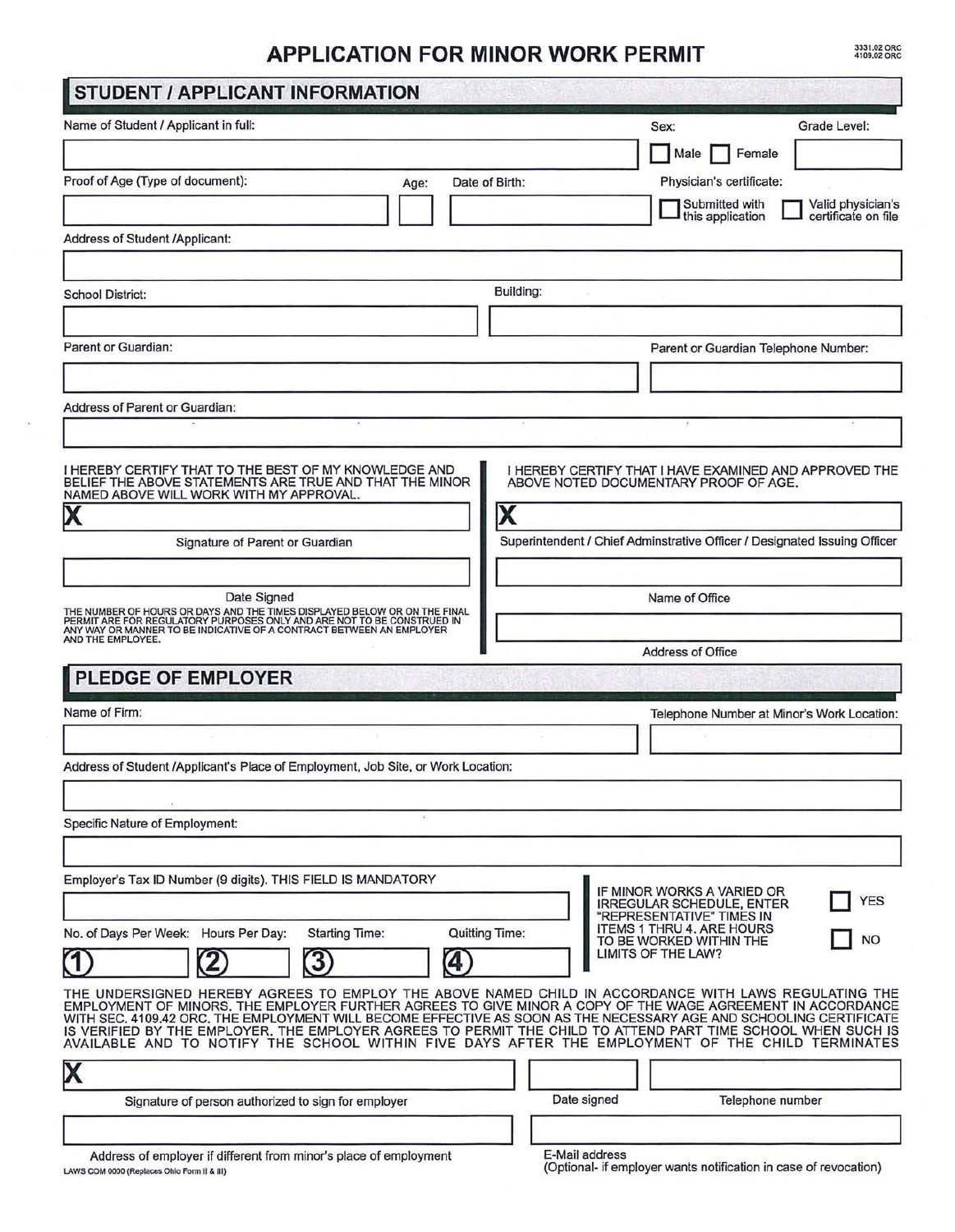## **APPLICATION FOR MINOR WORK PERMIT**

3331.02 ORC<br>4109.02 ORC

| Name of Student / Applicant in full:                                                                                                                                                                                                                                                                                                                                                                                                                                                                                                                                                                                     | Grade Level:<br>Sex:                                                                            |
|--------------------------------------------------------------------------------------------------------------------------------------------------------------------------------------------------------------------------------------------------------------------------------------------------------------------------------------------------------------------------------------------------------------------------------------------------------------------------------------------------------------------------------------------------------------------------------------------------------------------------|-------------------------------------------------------------------------------------------------|
|                                                                                                                                                                                                                                                                                                                                                                                                                                                                                                                                                                                                                          | Female<br>Male                                                                                  |
| Proof of Age (Type of document):<br>Date of Birth:<br>Age:                                                                                                                                                                                                                                                                                                                                                                                                                                                                                                                                                               | Physician's certificate:                                                                        |
|                                                                                                                                                                                                                                                                                                                                                                                                                                                                                                                                                                                                                          | Submitted with<br>Valid physician's<br>this application<br>certificate on file                  |
| Address of Student /Applicant:                                                                                                                                                                                                                                                                                                                                                                                                                                                                                                                                                                                           |                                                                                                 |
| <b>School District:</b>                                                                                                                                                                                                                                                                                                                                                                                                                                                                                                                                                                                                  | Building:                                                                                       |
|                                                                                                                                                                                                                                                                                                                                                                                                                                                                                                                                                                                                                          |                                                                                                 |
| Parent or Guardian:                                                                                                                                                                                                                                                                                                                                                                                                                                                                                                                                                                                                      | Parent or Guardian Telephone Number:                                                            |
|                                                                                                                                                                                                                                                                                                                                                                                                                                                                                                                                                                                                                          |                                                                                                 |
| <b>Address of Parent or Guardian:</b>                                                                                                                                                                                                                                                                                                                                                                                                                                                                                                                                                                                    |                                                                                                 |
|                                                                                                                                                                                                                                                                                                                                                                                                                                                                                                                                                                                                                          |                                                                                                 |
| I HEREBY CERTIFY THAT TO THE BEST OF MY KNOWLEDGE AND<br>BELIEF THE ABOVE STATEMENTS ARE TRUE AND THAT THE MINOR<br>NAMED ABOVE WILL WORK WITH MY APPROVAL.                                                                                                                                                                                                                                                                                                                                                                                                                                                              | I HEREBY CERTIFY THAT I HAVE EXAMINED AND APPROVED THE<br>ABOVE NOTED DOCUMENTARY PROOF OF AGE. |
| $\boldsymbol{\mathsf{X}}$                                                                                                                                                                                                                                                                                                                                                                                                                                                                                                                                                                                                |                                                                                                 |
| Signature of Parent or Guardian                                                                                                                                                                                                                                                                                                                                                                                                                                                                                                                                                                                          | Superintendent / Chief Adminstrative Officer / Designated Issuing Officer                       |
|                                                                                                                                                                                                                                                                                                                                                                                                                                                                                                                                                                                                                          |                                                                                                 |
| Date Signed                                                                                                                                                                                                                                                                                                                                                                                                                                                                                                                                                                                                              | Name of Office                                                                                  |
| THE NUMBER OF HOURS OR DAYS AND THE TIMES DISPLAYED BELOW OR ON THE FINAL<br>PERMIT ARE FOR REGULATORY PURPOSES ONLY AND ARE NOT TO BE CONSTRUED IN<br>ANY WAY OR MANNER TO BE INDICATIVE OF A CONTRACT BETWEEN AN EMPLOYER<br>AND THE EMPLOYEE.                                                                                                                                                                                                                                                                                                                                                                         |                                                                                                 |
| <b>PLEDGE OF EMPLOYER</b>                                                                                                                                                                                                                                                                                                                                                                                                                                                                                                                                                                                                | Address of Office                                                                               |
|                                                                                                                                                                                                                                                                                                                                                                                                                                                                                                                                                                                                                          |                                                                                                 |
|                                                                                                                                                                                                                                                                                                                                                                                                                                                                                                                                                                                                                          |                                                                                                 |
|                                                                                                                                                                                                                                                                                                                                                                                                                                                                                                                                                                                                                          |                                                                                                 |
|                                                                                                                                                                                                                                                                                                                                                                                                                                                                                                                                                                                                                          | Telephone Number at Minor's Work Location:                                                      |
|                                                                                                                                                                                                                                                                                                                                                                                                                                                                                                                                                                                                                          |                                                                                                 |
|                                                                                                                                                                                                                                                                                                                                                                                                                                                                                                                                                                                                                          |                                                                                                 |
| Name of Firm:<br>Address of Student /Applicant's Place of Employment, Job Site, or Work Location:<br><b>Specific Nature of Employment:</b>                                                                                                                                                                                                                                                                                                                                                                                                                                                                               |                                                                                                 |
|                                                                                                                                                                                                                                                                                                                                                                                                                                                                                                                                                                                                                          |                                                                                                 |
| Employer's Tax ID Number (9 digits). THIS FIELD IS MANDATORY                                                                                                                                                                                                                                                                                                                                                                                                                                                                                                                                                             | IF MINOR WORKS A VARIED OR<br><b>YES</b><br><b>IRREGULAR SCHEDULE, ENTER</b>                    |
| <b>Quitting Time:</b><br>No. of Days Per Week: Hours Per Day:<br><b>Starting Time:</b>                                                                                                                                                                                                                                                                                                                                                                                                                                                                                                                                   | "REPRESENTATIVE" TIMES IN<br><b>ITEMS 1 THRU 4. ARE HOURS</b>                                   |
|                                                                                                                                                                                                                                                                                                                                                                                                                                                                                                                                                                                                                          | <b>NO</b><br>TO BE WORKED WITHIN THE<br>LIMITS OF THE LAW?                                      |
| 3<br>4                                                                                                                                                                                                                                                                                                                                                                                                                                                                                                                                                                                                                   |                                                                                                 |
|                                                                                                                                                                                                                                                                                                                                                                                                                                                                                                                                                                                                                          |                                                                                                 |
| THE UNDERSIGNED HEREBY AGREES TO EMPLOY THE ABOVE NAMED CHILD IN ACCORDANCE WITH LAWS REGULATING THE<br>EMPLOYMENT OF MINORS. THE EMPLOYER FURTHER AGREES TO GIVE MINOR A COPY OF THE WAGE AGREEMENT IN ACCORDANCE<br>WITH SEC. 4109.42 ORC, THE EMPLOYMENT WILL BECOME EFFECTIVE AS SOON AS THE NECESSARY AGE AND SCHOOLING CERTIFICATE<br>IS VERIFIED BY THE EMPLOYER. THE EMPLOYER AGREES TO PERMIT THE CHILD TO ATTEND PART TIME SCHOOL WHEN SUCH IS<br>AVAILABLE AND TO NOTIFY THE SCHOOL WITHIN FIVE DAYS AFTER THE EMPLOYMENT OF THE CHILD TERMINATES<br>X<br>Signature of person authorized to sign for employer | Date signed<br>Telephone number                                                                 |

 $\bar{\alpha}$